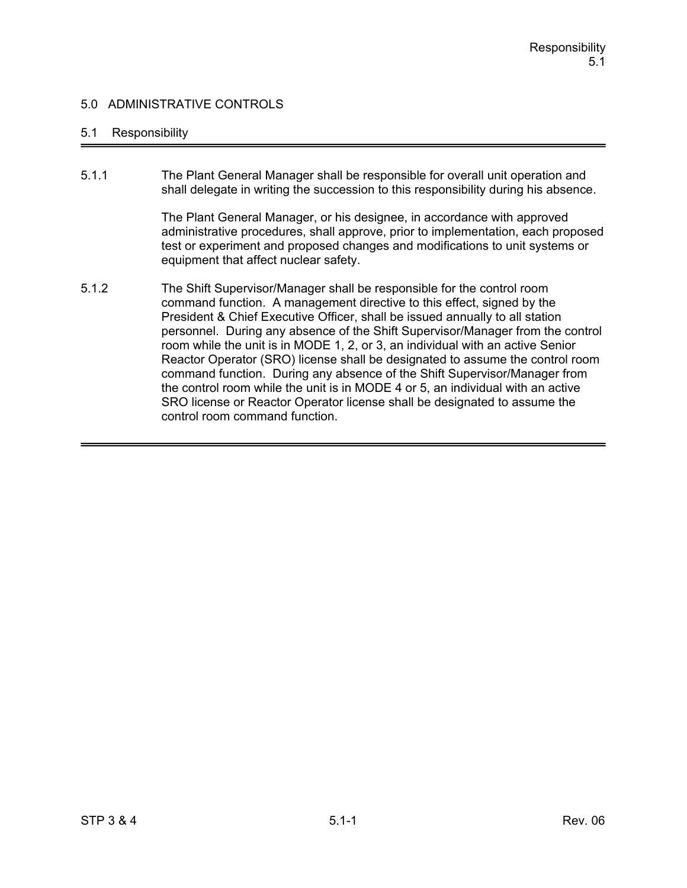### 5.1 Responsibility

5.1.1 The Plant General Manager shall be responsible for overall unit operation and shall delegate in writing the succession to this responsibility during his absence.

> The Plant General Manager, or his designee, in accordance with approved administrative procedures, shall approve, prior to implementation, each proposed test or experiment and proposed changes and modifications to unit systems or equipment that affect nuclear safety.

5.1.2 The Shift Supervisor/Manager shall be responsible for the control room command function. A management directive to this effect, signed by the President & Chief Executive Officer, shall be issued annually to all station personnel. During any absence of the Shift Supervisor/Manager from the control room while the unit is in MODE 1, 2, or 3, an individual with an active Senior Reactor Operator (SRO) license shall be designated to assume the control room command function. During any absence of the Shift Supervisor/Manager from the control room while the unit is in MODE 4 or 5, an individual with an active SRO license or Reactor Operator license shall be designated to assume the control room command function.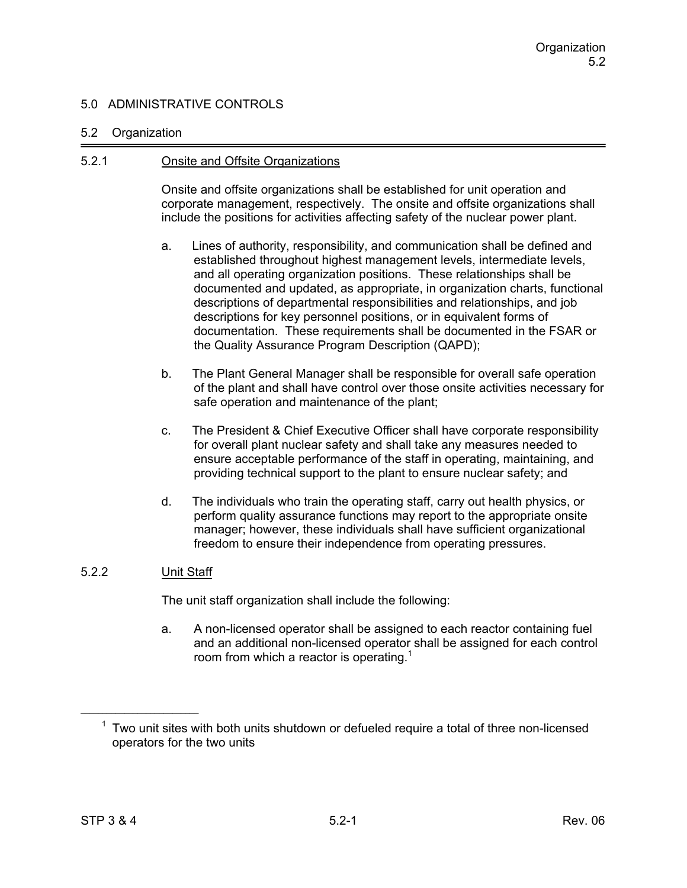#### 5.2 Organization

#### 5.2.1 Onsite and Offsite Organizations

Onsite and offsite organizations shall be established for unit operation and corporate management, respectively. The onsite and offsite organizations shall include the positions for activities affecting safety of the nuclear power plant.

- a. Lines of authority, responsibility, and communication shall be defined and established throughout highest management levels, intermediate levels, and all operating organization positions. These relationships shall be documented and updated, as appropriate, in organization charts, functional descriptions of departmental responsibilities and relationships, and job descriptions for key personnel positions, or in equivalent forms of documentation. These requirements shall be documented in the FSAR or the Quality Assurance Program Description (QAPD);
- b. The Plant General Manager shall be responsible for overall safe operation of the plant and shall have control over those onsite activities necessary for safe operation and maintenance of the plant;
- c. The President & Chief Executive Officer shall have corporate responsibility for overall plant nuclear safety and shall take any measures needed to ensure acceptable performance of the staff in operating, maintaining, and providing technical support to the plant to ensure nuclear safety; and
- d. The individuals who train the operating staff, carry out health physics, or perform quality assurance functions may report to the appropriate onsite manager; however, these individuals shall have sufficient organizational freedom to ensure their independence from operating pressures.

## 5.2.2 Unit Staff

The unit staff organization shall include the following:

a. A non-licensed operator shall be assigned to each reactor containing fuel and an additional non-licensed operator shall be assigned for each control room from which a reactor is operating.<sup>1</sup>

 $1$  Two unit sites with both units shutdown or defueled require a total of three non-licensed operators for the two units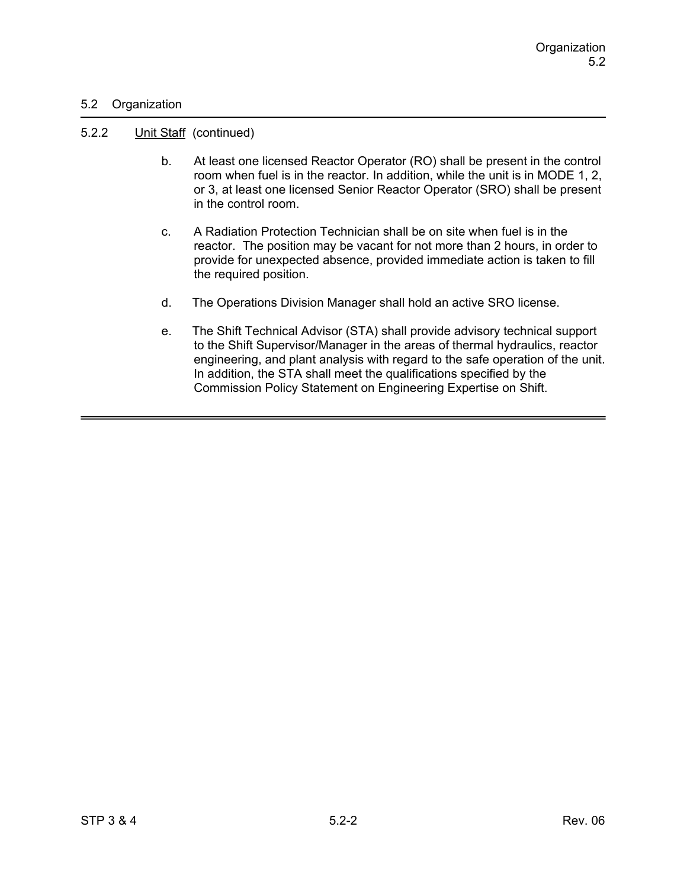### 5.2 Organization

#### 5.2.2 Unit Staff (continued)

- b. At least one licensed Reactor Operator (RO) shall be present in the control room when fuel is in the reactor. In addition, while the unit is in MODE 1, 2, or 3, at least one licensed Senior Reactor Operator (SRO) shall be present in the control room.
- c. A Radiation Protection Technician shall be on site when fuel is in the reactor. The position may be vacant for not more than 2 hours, in order to provide for unexpected absence, provided immediate action is taken to fill the required position.
- d. The Operations Division Manager shall hold an active SRO license.
- e. The Shift Technical Advisor (STA) shall provide advisory technical support to the Shift Supervisor/Manager in the areas of thermal hydraulics, reactor engineering, and plant analysis with regard to the safe operation of the unit. In addition, the STA shall meet the qualifications specified by the Commission Policy Statement on Engineering Expertise on Shift.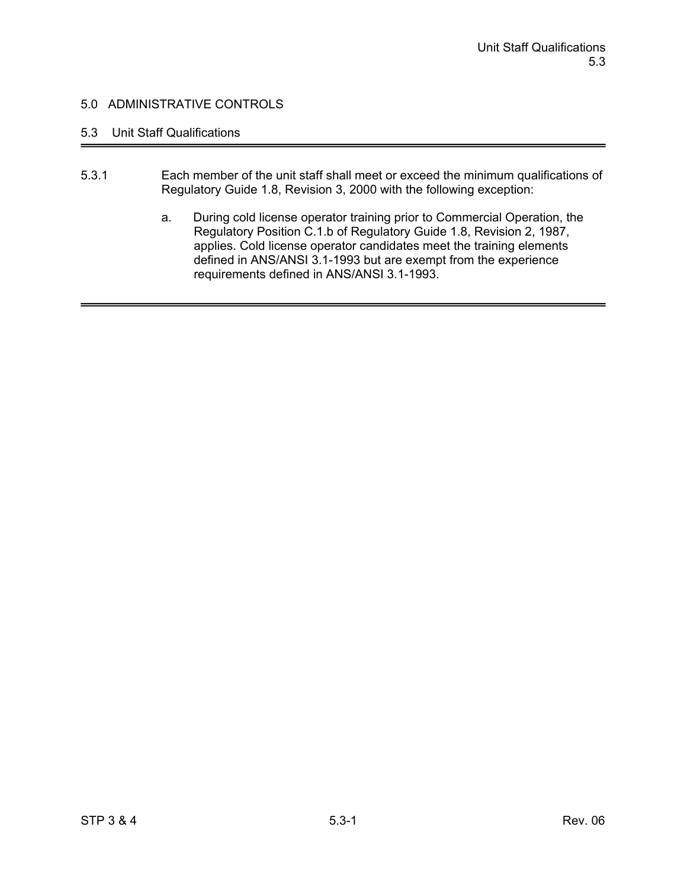# 5.3 Unit Staff Qualifications

- 5.3.1 Each member of the unit staff shall meet or exceed the minimum qualifications of Regulatory Guide 1.8, Revision 3, 2000 with the following exception:
	- a. During cold license operator training prior to Commercial Operation, the Regulatory Position C.1.b of Regulatory Guide 1.8, Revision 2, 1987, applies. Cold license operator candidates meet the training elements defined in ANS/ANSI 3.1-1993 but are exempt from the experience requirements defined in ANS/ANSI 3.1-1993.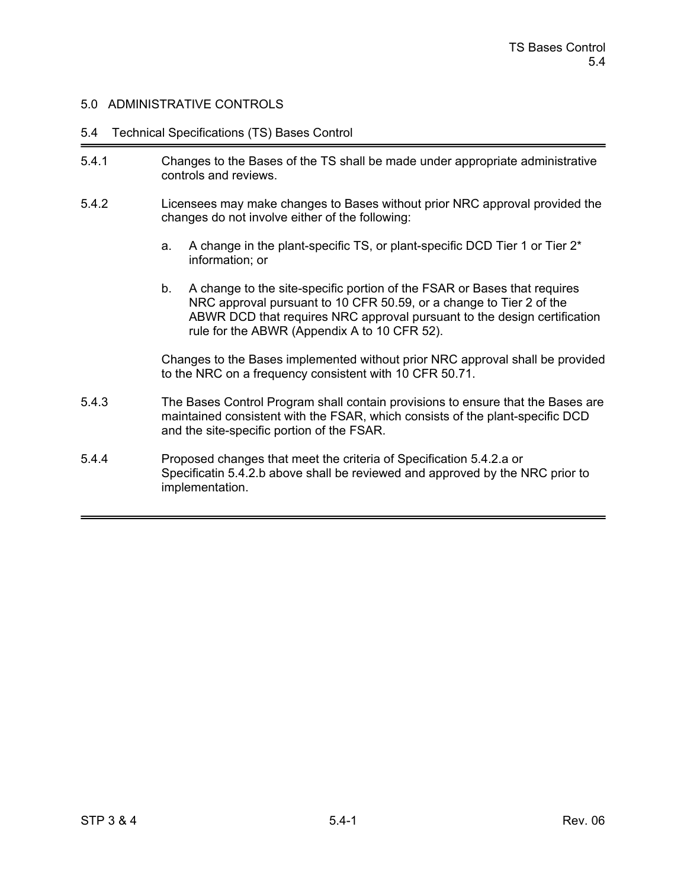#### 5.4 Technical Specifications (TS) Bases Control

- 5.4.1 Changes to the Bases of the TS shall be made under appropriate administrative controls and reviews.
- 5.4.2 Licensees may make changes to Bases without prior NRC approval provided the changes do not involve either of the following:
	- a. A change in the plant-specific TS, or plant-specific DCD Tier 1 or Tier 2\* information; or
	- b. A change to the site-specific portion of the FSAR or Bases that requires NRC approval pursuant to 10 CFR 50.59, or a change to Tier 2 of the ABWR DCD that requires NRC approval pursuant to the design certification rule for the ABWR (Appendix A to 10 CFR 52).

Changes to the Bases implemented without prior NRC approval shall be provided to the NRC on a frequency consistent with 10 CFR 50.71.

- 5.4.3 The Bases Control Program shall contain provisions to ensure that the Bases are maintained consistent with the FSAR, which consists of the plant-specific DCD and the site-specific portion of the FSAR.
- 5.4.4 Proposed changes that meet the criteria of Specification 5.4.2.a or Specificatin 5.4.2.b above shall be reviewed and approved by the NRC prior to implementation.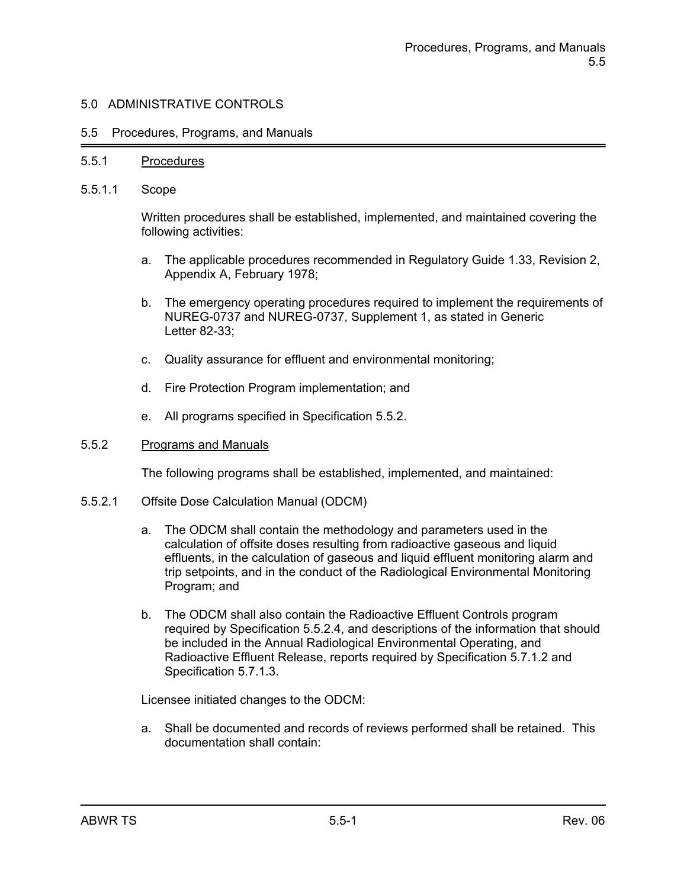#### 5.5 Procedures, Programs, and Manuals

#### 5.5.1 Procedures

5.5.1.1 Scope

Written procedures shall be established, implemented, and maintained covering the following activities:

- a. The applicable procedures recommended in Regulatory Guide 1.33, Revision 2, Appendix A, February 1978;
- b. The emergency operating procedures required to implement the requirements of NUREG-0737 and NUREG-0737, Supplement 1, as stated in Generic Letter 82-33;
- c. Quality assurance for effluent and environmental monitoring;
- d. Fire Protection Program implementation; and
- e. All programs specified in Specification 5.5.2.

#### 5.5.2 Programs and Manuals

The following programs shall be established, implemented, and maintained:

- 5.5.2.1 Offsite Dose Calculation Manual (ODCM)
	- a. The ODCM shall contain the methodology and parameters used in the calculation of offsite doses resulting from radioactive gaseous and liquid effluents, in the calculation of gaseous and liquid effluent monitoring alarm and trip setpoints, and in the conduct of the Radiological Environmental Monitoring Program; and
	- b. The ODCM shall also contain the Radioactive Effluent Controls program required by Specification 5.5.2.4, and descriptions of the information that should be included in the Annual Radiological Environmental Operating, and Radioactive Effluent Release, reports required by Specification 5.7.1.2 and Specification 5.7.1.3.

Licensee initiated changes to the ODCM:

a. Shall be documented and records of reviews performed shall be retained. This documentation shall contain: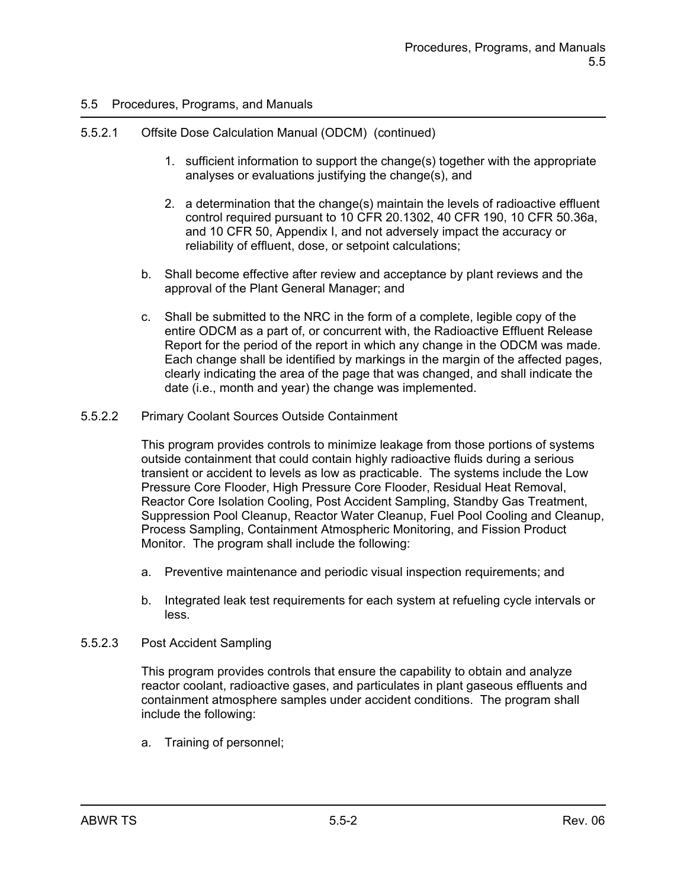## 5.5.2.1 Offsite Dose Calculation Manual (ODCM) (continued)

- 1. sufficient information to support the change(s) together with the appropriate analyses or evaluations justifying the change(s), and
- 2. a determination that the change(s) maintain the levels of radioactive effluent control required pursuant to 10 CFR 20.1302, 40 CFR 190, 10 CFR 50.36a, and 10 CFR 50, Appendix I, and not adversely impact the accuracy or reliability of effluent, dose, or setpoint calculations;
- b. Shall become effective after review and acceptance by plant reviews and the approval of the Plant General Manager; and
- c. Shall be submitted to the NRC in the form of a complete, legible copy of the entire ODCM as a part of, or concurrent with, the Radioactive Effluent Release Report for the period of the report in which any change in the ODCM was made. Each change shall be identified by markings in the margin of the affected pages, clearly indicating the area of the page that was changed, and shall indicate the date (i.e., month and year) the change was implemented.
- 5.5.2.2 Primary Coolant Sources Outside Containment

This program provides controls to minimize leakage from those portions of systems outside containment that could contain highly radioactive fluids during a serious transient or accident to levels as low as practicable. The systems include the Low Pressure Core Flooder, High Pressure Core Flooder, Residual Heat Removal, Reactor Core Isolation Cooling, Post Accident Sampling, Standby Gas Treatment, Suppression Pool Cleanup, Reactor Water Cleanup, Fuel Pool Cooling and Cleanup, Process Sampling, Containment Atmospheric Monitoring, and Fission Product Monitor. The program shall include the following:

- a. Preventive maintenance and periodic visual inspection requirements; and
- b. Integrated leak test requirements for each system at refueling cycle intervals or less.
- 5.5.2.3 Post Accident Sampling

This program provides controls that ensure the capability to obtain and analyze reactor coolant, radioactive gases, and particulates in plant gaseous effluents and containment atmosphere samples under accident conditions. The program shall include the following:

a. Training of personnel;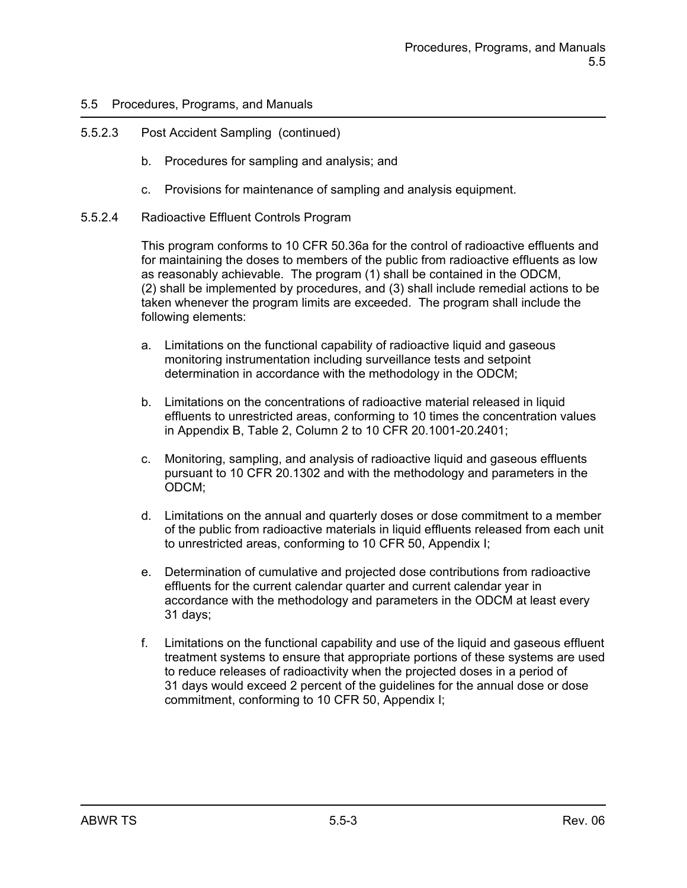## 5.5.2.3 Post Accident Sampling (continued)

- b. Procedures for sampling and analysis; and
- c. Provisions for maintenance of sampling and analysis equipment.
- 5.5.2.4 Radioactive Effluent Controls Program

This program conforms to 10 CFR 50.36a for the control of radioactive effluents and for maintaining the doses to members of the public from radioactive effluents as low as reasonably achievable. The program (1) shall be contained in the ODCM, (2) shall be implemented by procedures, and (3) shall include remedial actions to be taken whenever the program limits are exceeded. The program shall include the following elements:

- a. Limitations on the functional capability of radioactive liquid and gaseous monitoring instrumentation including surveillance tests and setpoint determination in accordance with the methodology in the ODCM;
- b. Limitations on the concentrations of radioactive material released in liquid effluents to unrestricted areas, conforming to 10 times the concentration values in Appendix B, Table 2, Column 2 to 10 CFR 20.1001-20.2401;
- c. Monitoring, sampling, and analysis of radioactive liquid and gaseous effluents pursuant to 10 CFR 20.1302 and with the methodology and parameters in the ODCM;
- d. Limitations on the annual and quarterly doses or dose commitment to a member of the public from radioactive materials in liquid effluents released from each unit to unrestricted areas, conforming to 10 CFR 50, Appendix I;
- e. Determination of cumulative and projected dose contributions from radioactive effluents for the current calendar quarter and current calendar year in accordance with the methodology and parameters in the ODCM at least every 31 days;
- f. Limitations on the functional capability and use of the liquid and gaseous effluent treatment systems to ensure that appropriate portions of these systems are used to reduce releases of radioactivity when the projected doses in a period of 31 days would exceed 2 percent of the guidelines for the annual dose or dose commitment, conforming to 10 CFR 50, Appendix I;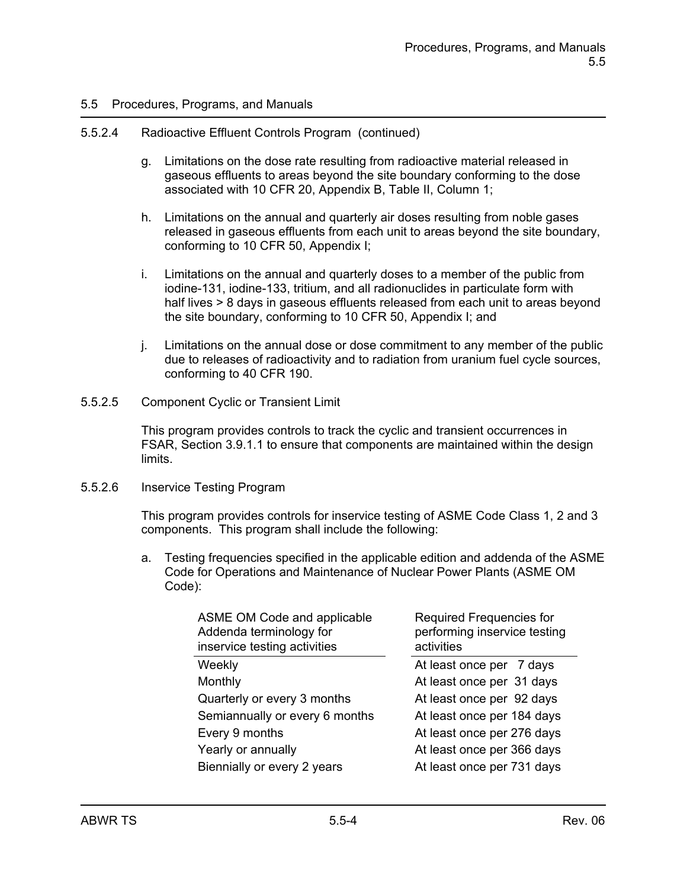#### 5.5.2.4 Radioactive Effluent Controls Program (continued)

- g. Limitations on the dose rate resulting from radioactive material released in gaseous effluents to areas beyond the site boundary conforming to the dose associated with 10 CFR 20, Appendix B, Table II, Column 1;
- h. Limitations on the annual and quarterly air doses resulting from noble gases released in gaseous effluents from each unit to areas beyond the site boundary, conforming to 10 CFR 50, Appendix I;
- i. Limitations on the annual and quarterly doses to a member of the public from iodine-131, iodine-133, tritium, and all radionuclides in particulate form with half lives > 8 days in gaseous effluents released from each unit to areas beyond the site boundary, conforming to 10 CFR 50, Appendix I; and
- j. Limitations on the annual dose or dose commitment to any member of the public due to releases of radioactivity and to radiation from uranium fuel cycle sources, conforming to 40 CFR 190.
- 5.5.2.5 Component Cyclic or Transient Limit

This program provides controls to track the cyclic and transient occurrences in FSAR, Section 3.9.1.1 to ensure that components are maintained within the design limits.

#### 5.5.2.6 Inservice Testing Program

This program provides controls for inservice testing of ASME Code Class 1, 2 and 3 components. This program shall include the following:

a. Testing frequencies specified in the applicable edition and addenda of the ASME Code for Operations and Maintenance of Nuclear Power Plants (ASME OM Code):

| ASME OM Code and applicable<br>Addenda terminology for<br>inservice testing activities | Required Frequencies for<br>performing inservice testing<br>activities |
|----------------------------------------------------------------------------------------|------------------------------------------------------------------------|
| Weekly                                                                                 | At least once per 7 days                                               |
| Monthly                                                                                | At least once per 31 days                                              |
| Quarterly or every 3 months                                                            | At least once per 92 days                                              |
| Semiannually or every 6 months                                                         | At least once per 184 days                                             |
| Every 9 months                                                                         | At least once per 276 days                                             |
| Yearly or annually                                                                     | At least once per 366 days                                             |
| Biennially or every 2 years                                                            | At least once per 731 days                                             |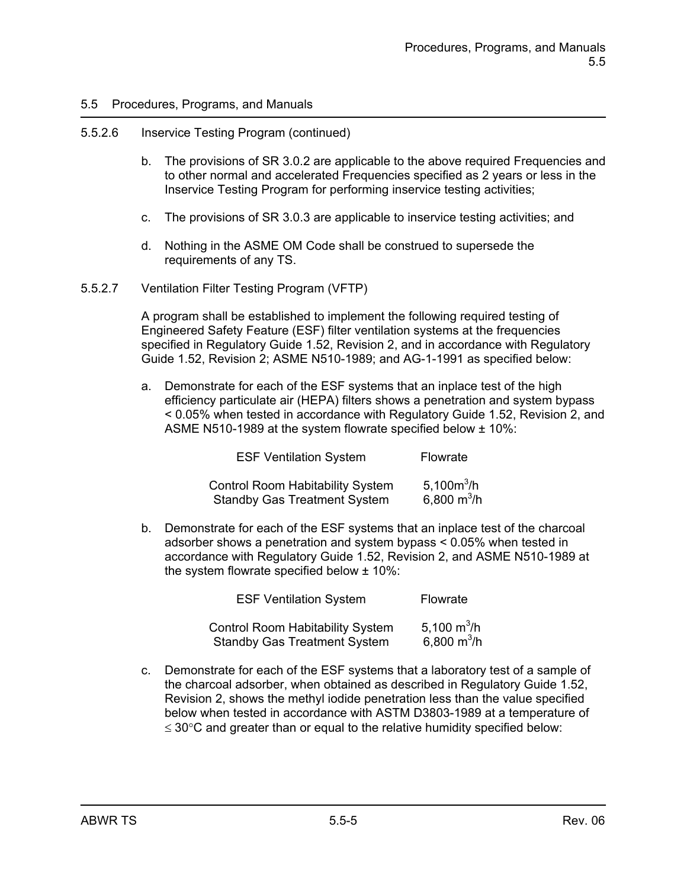#### 5.5.2.6 Inservice Testing Program (continued)

- b. The provisions of SR 3.0.2 are applicable to the above required Frequencies and to other normal and accelerated Frequencies specified as 2 years or less in the Inservice Testing Program for performing inservice testing activities;
- c. The provisions of SR 3.0.3 are applicable to inservice testing activities; and
- d. Nothing in the ASME OM Code shall be construed to supersede the requirements of any TS.
- 5.5.2.7 Ventilation Filter Testing Program (VFTP)

A program shall be established to implement the following required testing of Engineered Safety Feature (ESF) filter ventilation systems at the frequencies specified in Regulatory Guide 1.52, Revision 2, and in accordance with Regulatory Guide 1.52, Revision 2; ASME N510-1989; and AG-1-1991 as specified below:

a. Demonstrate for each of the ESF systems that an inplace test of the high efficiency particulate air (HEPA) filters shows a penetration and system bypass < 0.05% when tested in accordance with Regulatory Guide 1.52, Revision 2, and ASME N510-1989 at the system flowrate specified below ± 10%:

| <b>ESF Ventilation System</b>           | <b>Flowrate</b> |  |
|-----------------------------------------|-----------------|--|
| <b>Control Room Habitability System</b> | 5,100 $m^3/h$   |  |
| <b>Standby Gas Treatment System</b>     | 6,800 $m^3/h$   |  |

b. Demonstrate for each of the ESF systems that an inplace test of the charcoal adsorber shows a penetration and system bypass < 0.05% when tested in accordance with Regulatory Guide 1.52, Revision 2, and ASME N510-1989 at the system flowrate specified below ± 10%:

| <b>ESF Ventilation System</b>           | Flowrate      |  |
|-----------------------------------------|---------------|--|
| <b>Control Room Habitability System</b> | 5,100 $m^3/h$ |  |
| <b>Standby Gas Treatment System</b>     | 6,800 $m^3/h$ |  |

c. Demonstrate for each of the ESF systems that a laboratory test of a sample of the charcoal adsorber, when obtained as described in Regulatory Guide 1.52, Revision 2, shows the methyl iodide penetration less than the value specified below when tested in accordance with ASTM D3803-1989 at a temperature of  $\leq$  30 $\degree$ C and greater than or equal to the relative humidity specified below: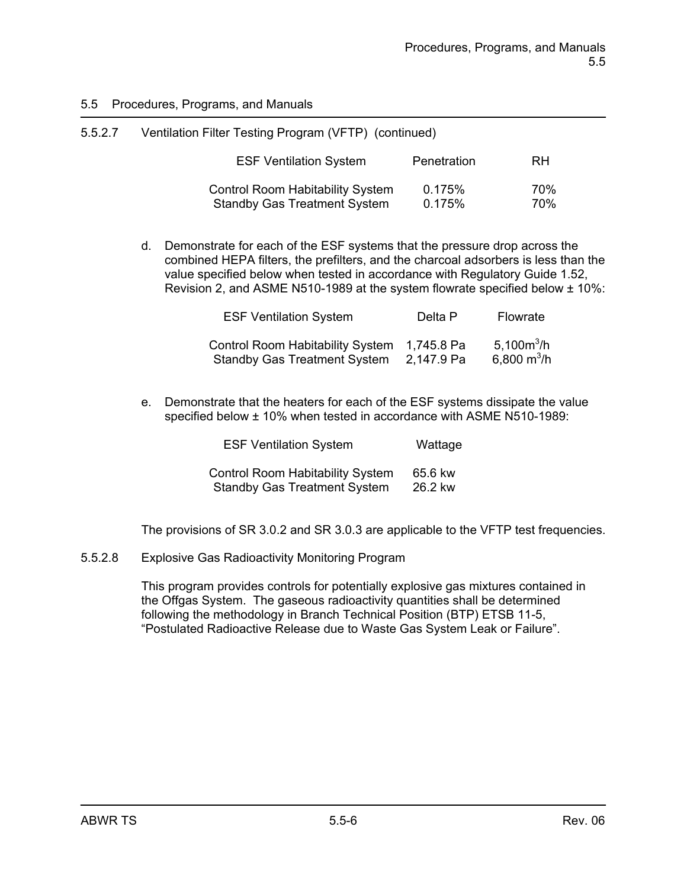| 5.5.2.7 | Ventilation Filter Testing Program (VFTP) (continued)                          |                  |            |
|---------|--------------------------------------------------------------------------------|------------------|------------|
|         | <b>ESF Ventilation System</b>                                                  | Penetration      | <b>RH</b>  |
|         | <b>Control Room Habitability System</b><br><b>Standby Gas Treatment System</b> | 0.175%<br>0.175% | 70%<br>70% |

d. Demonstrate for each of the ESF systems that the pressure drop across the combined HEPA filters, the prefilters, and the charcoal adsorbers is less than the value specified below when tested in accordance with Regulatory Guide 1.52, Revision 2, and ASME N510-1989 at the system flowrate specified below ± 10%:

| <b>ESF Ventilation System</b>                                               | Delta P    | Flowrate                                 |
|-----------------------------------------------------------------------------|------------|------------------------------------------|
| Control Room Habitability System 1,745.8 Pa<br>Standby Gas Treatment System | 2,147.9 Pa | 5,100 $m^3/h$<br>6,800 m <sup>3</sup> /h |

e. Demonstrate that the heaters for each of the ESF systems dissipate the value specified below ± 10% when tested in accordance with ASME N510-1989:

| <b>ESF Ventilation System</b>           | Wattage |  |
|-----------------------------------------|---------|--|
| <b>Control Room Habitability System</b> | 65.6 kw |  |
| <b>Standby Gas Treatment System</b>     | 26.2 kw |  |

The provisions of SR 3.0.2 and SR 3.0.3 are applicable to the VFTP test frequencies.

5.5.2.8 Explosive Gas Radioactivity Monitoring Program

This program provides controls for potentially explosive gas mixtures contained in the Offgas System. The gaseous radioactivity quantities shall be determined following the methodology in Branch Technical Position (BTP) ETSB 11-5, "Postulated Radioactive Release due to Waste Gas System Leak or Failure".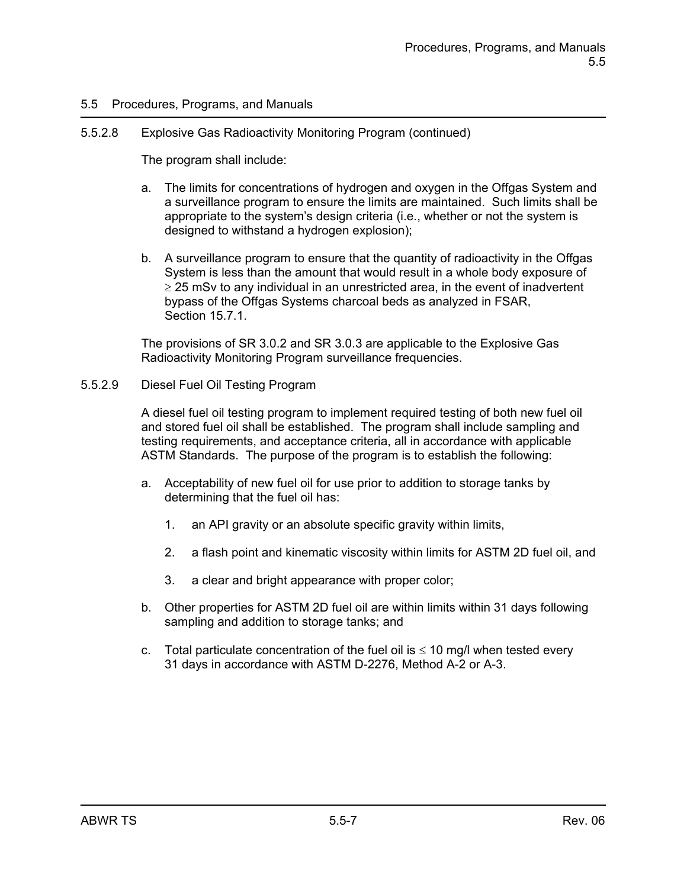### 5.5.2.8 Explosive Gas Radioactivity Monitoring Program (continued)

The program shall include:

- a. The limits for concentrations of hydrogen and oxygen in the Offgas System and a surveillance program to ensure the limits are maintained. Such limits shall be appropriate to the system's design criteria (i.e., whether or not the system is designed to withstand a hydrogen explosion);
- b. A surveillance program to ensure that the quantity of radioactivity in the Offgas System is less than the amount that would result in a whole body exposure of  $\geq$  25 mSv to any individual in an unrestricted area, in the event of inadvertent bypass of the Offgas Systems charcoal beds as analyzed in FSAR, Section 15.7.1.

The provisions of SR 3.0.2 and SR 3.0.3 are applicable to the Explosive Gas Radioactivity Monitoring Program surveillance frequencies.

#### 5.5.2.9 Diesel Fuel Oil Testing Program

A diesel fuel oil testing program to implement required testing of both new fuel oil and stored fuel oil shall be established. The program shall include sampling and testing requirements, and acceptance criteria, all in accordance with applicable ASTM Standards. The purpose of the program is to establish the following:

- a. Acceptability of new fuel oil for use prior to addition to storage tanks by determining that the fuel oil has:
	- 1. an API gravity or an absolute specific gravity within limits,
	- 2. a flash point and kinematic viscosity within limits for ASTM 2D fuel oil, and
	- 3. a clear and bright appearance with proper color;
- b. Other properties for ASTM 2D fuel oil are within limits within 31 days following sampling and addition to storage tanks; and
- c. Total particulate concentration of the fuel oil is  $\leq 10$  mg/l when tested every 31 days in accordance with ASTM D-2276, Method A-2 or A-3.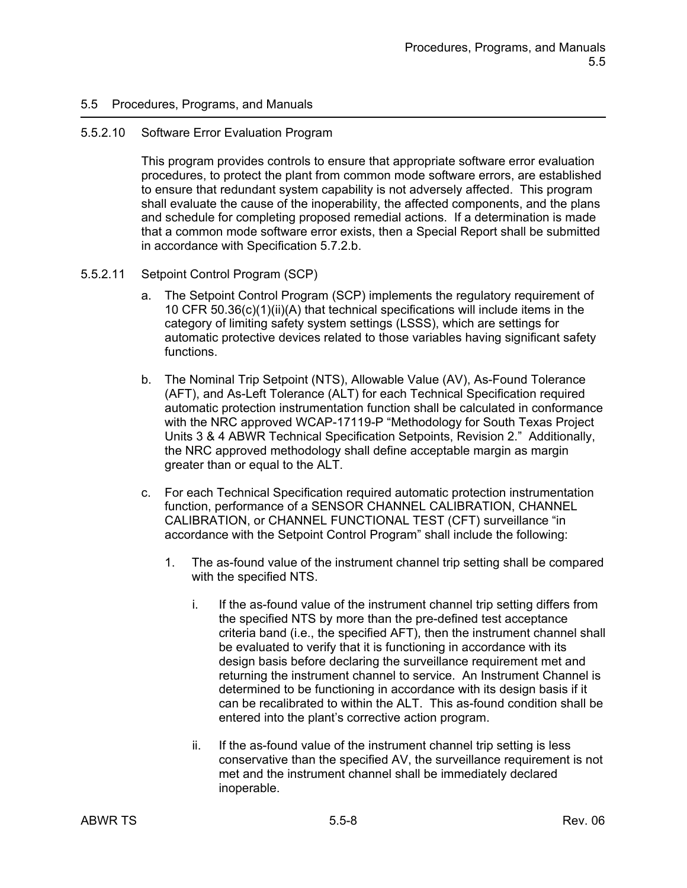#### 5.5.2.10 Software Error Evaluation Program

This program provides controls to ensure that appropriate software error evaluation procedures, to protect the plant from common mode software errors, are established to ensure that redundant system capability is not adversely affected. This program shall evaluate the cause of the inoperability, the affected components, and the plans and schedule for completing proposed remedial actions. If a determination is made that a common mode software error exists, then a Special Report shall be submitted in accordance with Specification 5.7.2.b.

#### 5.5.2.11 Setpoint Control Program (SCP)

- a. The Setpoint Control Program (SCP) implements the regulatory requirement of 10 CFR 50.36(c)(1)(ii)(A) that technical specifications will include items in the category of limiting safety system settings (LSSS), which are settings for automatic protective devices related to those variables having significant safety functions.
- b. The Nominal Trip Setpoint (NTS), Allowable Value (AV), As-Found Tolerance (AFT), and As-Left Tolerance (ALT) for each Technical Specification required automatic protection instrumentation function shall be calculated in conformance with the NRC approved WCAP-17119-P "Methodology for South Texas Project Units 3 & 4 ABWR Technical Specification Setpoints, Revision 2." Additionally, the NRC approved methodology shall define acceptable margin as margin greater than or equal to the ALT.
- c. For each Technical Specification required automatic protection instrumentation function, performance of a SENSOR CHANNEL CALIBRATION, CHANNEL CALIBRATION, or CHANNEL FUNCTIONAL TEST (CFT) surveillance "in accordance with the Setpoint Control Program" shall include the following:
	- 1. The as-found value of the instrument channel trip setting shall be compared with the specified NTS.
		- i. If the as-found value of the instrument channel trip setting differs from the specified NTS by more than the pre-defined test acceptance criteria band (i.e., the specified AFT), then the instrument channel shall be evaluated to verify that it is functioning in accordance with its design basis before declaring the surveillance requirement met and returning the instrument channel to service. An Instrument Channel is determined to be functioning in accordance with its design basis if it can be recalibrated to within the ALT. This as-found condition shall be entered into the plant's corrective action program.
		- ii. If the as-found value of the instrument channel trip setting is less conservative than the specified AV, the surveillance requirement is not met and the instrument channel shall be immediately declared inoperable.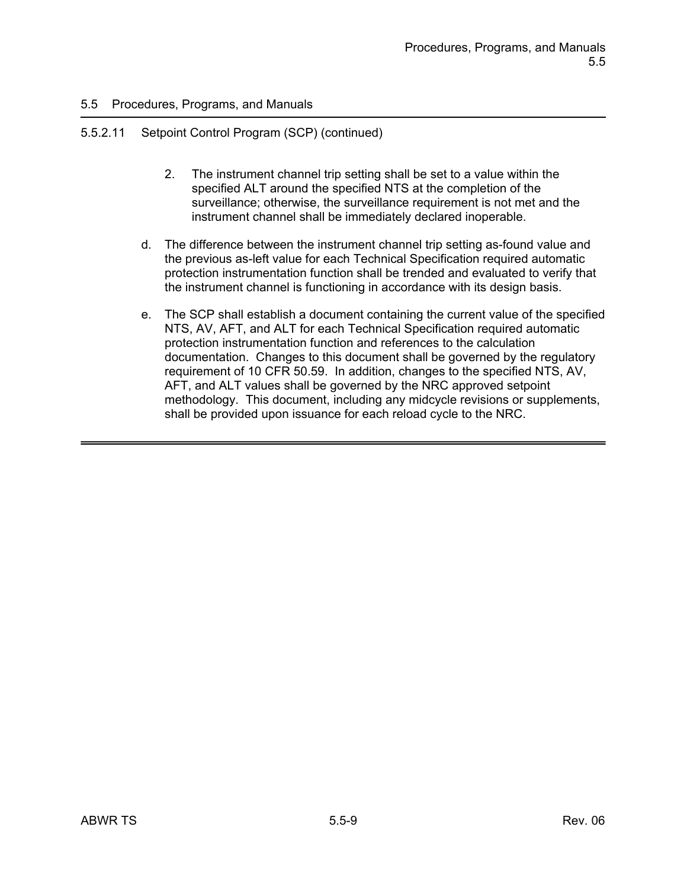## 5.5.2.11 Setpoint Control Program (SCP) (continued)

- 2. The instrument channel trip setting shall be set to a value within the specified ALT around the specified NTS at the completion of the surveillance; otherwise, the surveillance requirement is not met and the instrument channel shall be immediately declared inoperable.
- d. The difference between the instrument channel trip setting as-found value and the previous as-left value for each Technical Specification required automatic protection instrumentation function shall be trended and evaluated to verify that the instrument channel is functioning in accordance with its design basis.
- e. The SCP shall establish a document containing the current value of the specified NTS, AV, AFT, and ALT for each Technical Specification required automatic protection instrumentation function and references to the calculation documentation. Changes to this document shall be governed by the regulatory requirement of 10 CFR 50.59. In addition, changes to the specified NTS, AV, AFT, and ALT values shall be governed by the NRC approved setpoint methodology. This document, including any midcycle revisions or supplements, shall be provided upon issuance for each reload cycle to the NRC.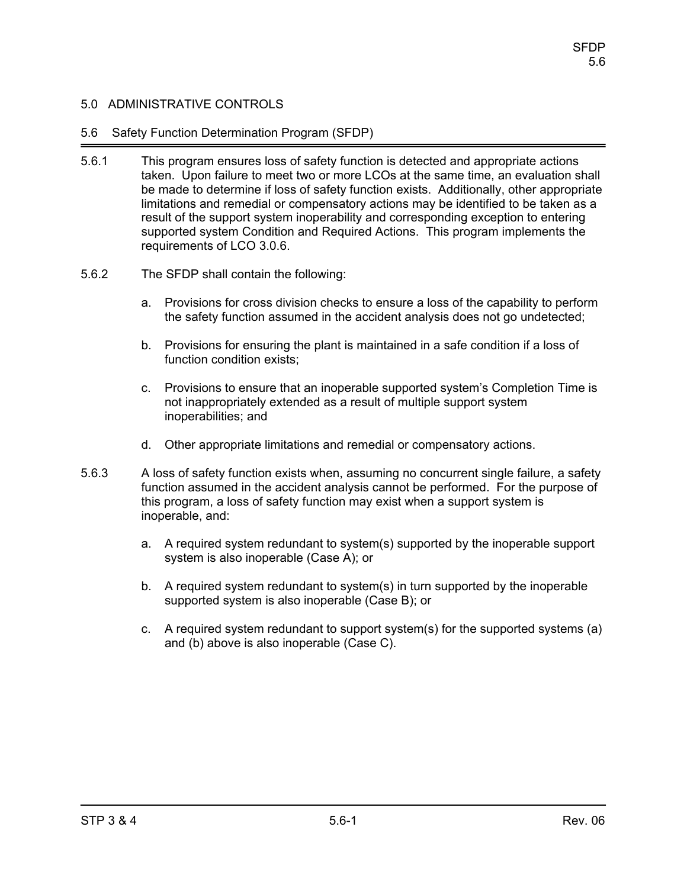### 5.6 Safety Function Determination Program (SFDP)

- 5.6.1 This program ensures loss of safety function is detected and appropriate actions taken. Upon failure to meet two or more LCOs at the same time, an evaluation shall be made to determine if loss of safety function exists. Additionally, other appropriate limitations and remedial or compensatory actions may be identified to be taken as a result of the support system inoperability and corresponding exception to entering supported system Condition and Required Actions. This program implements the requirements of LCO 3.0.6.
- 5.6.2 The SFDP shall contain the following:
	- a. Provisions for cross division checks to ensure a loss of the capability to perform the safety function assumed in the accident analysis does not go undetected;
	- b. Provisions for ensuring the plant is maintained in a safe condition if a loss of function condition exists;
	- c. Provisions to ensure that an inoperable supported system's Completion Time is not inappropriately extended as a result of multiple support system inoperabilities; and
	- d. Other appropriate limitations and remedial or compensatory actions.
- 5.6.3 A loss of safety function exists when, assuming no concurrent single failure, a safety function assumed in the accident analysis cannot be performed. For the purpose of this program, a loss of safety function may exist when a support system is inoperable, and:
	- a. A required system redundant to system(s) supported by the inoperable support system is also inoperable (Case A); or
	- b. A required system redundant to system(s) in turn supported by the inoperable supported system is also inoperable (Case B); or
	- c. A required system redundant to support system(s) for the supported systems (a) and (b) above is also inoperable (Case C).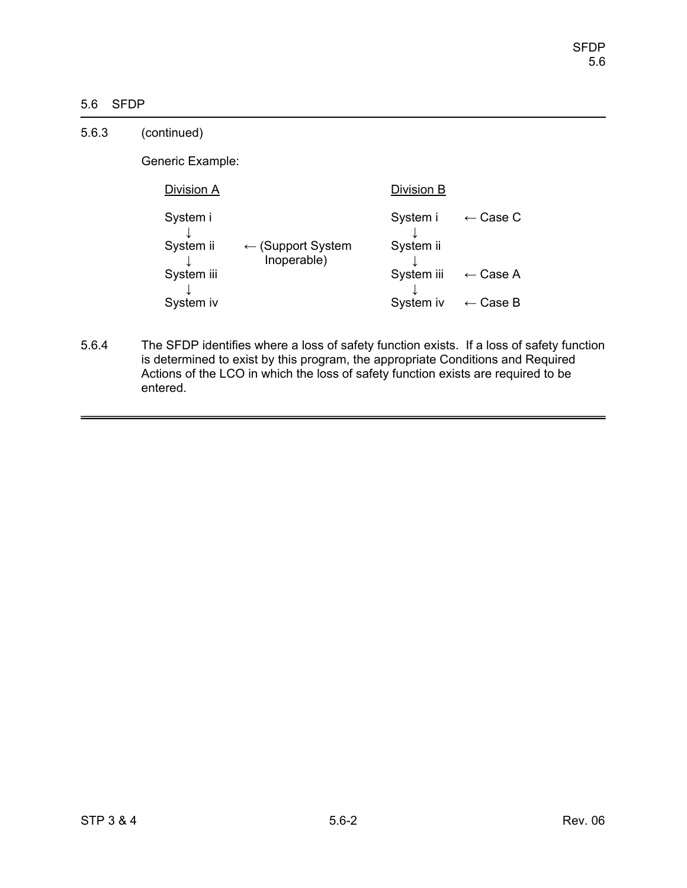# 5.6 SFDP

| 5.6.3 | (continued)           |                                             |                       |                     |
|-------|-----------------------|---------------------------------------------|-----------------------|---------------------|
|       | Generic Example:      |                                             |                       |                     |
|       | Division A            |                                             | Division B            |                     |
|       | System i<br>System ii | $\leftarrow$ (Support System<br>Inoperable) | System i<br>System ii | $\leftarrow$ Case C |
|       | System iii            |                                             | System iii            | $\leftarrow$ Case A |
|       | System iv             |                                             | System iv             | $\leftarrow$ Case B |

5.6.4 The SFDP identifies where a loss of safety function exists. If a loss of safety function is determined to exist by this program, the appropriate Conditions and Required Actions of the LCO in which the loss of safety function exists are required to be entered.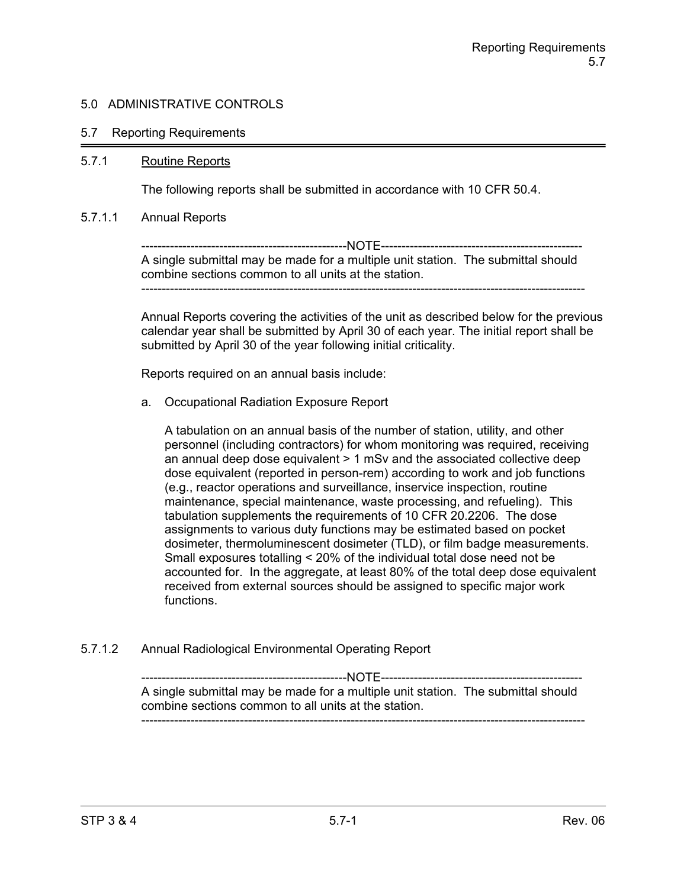### 5.7 Reporting Requirements

#### 5.7.1 Routine Reports

The following reports shall be submitted in accordance with 10 CFR 50.4.

#### 5.7.1.1 Annual Reports

--------------------------------------------------NOTE------------------------------------------------- A single submittal may be made for a multiple unit station. The submittal should combine sections common to all units at the station. ------------------------------------------------------------------------------------------------------------

Annual Reports covering the activities of the unit as described below for the previous calendar year shall be submitted by April 30 of each year. The initial report shall be submitted by April 30 of the year following initial criticality.

Reports required on an annual basis include:

a. Occupational Radiation Exposure Report

A tabulation on an annual basis of the number of station, utility, and other personnel (including contractors) for whom monitoring was required, receiving an annual deep dose equivalent > 1 mSv and the associated collective deep dose equivalent (reported in person-rem) according to work and job functions (e.g., reactor operations and surveillance, inservice inspection, routine maintenance, special maintenance, waste processing, and refueling). This tabulation supplements the requirements of 10 CFR 20.2206. The dose assignments to various duty functions may be estimated based on pocket dosimeter, thermoluminescent dosimeter (TLD), or film badge measurements. Small exposures totalling < 20% of the individual total dose need not be accounted for. In the aggregate, at least 80% of the total deep dose equivalent received from external sources should be assigned to specific major work functions.

5.7.1.2 Annual Radiological Environmental Operating Report

--------------------------------------------------NOTE------------------------------------------------- A single submittal may be made for a multiple unit station. The submittal should combine sections common to all units at the station. ------------------------------------------------------------------------------------------------------------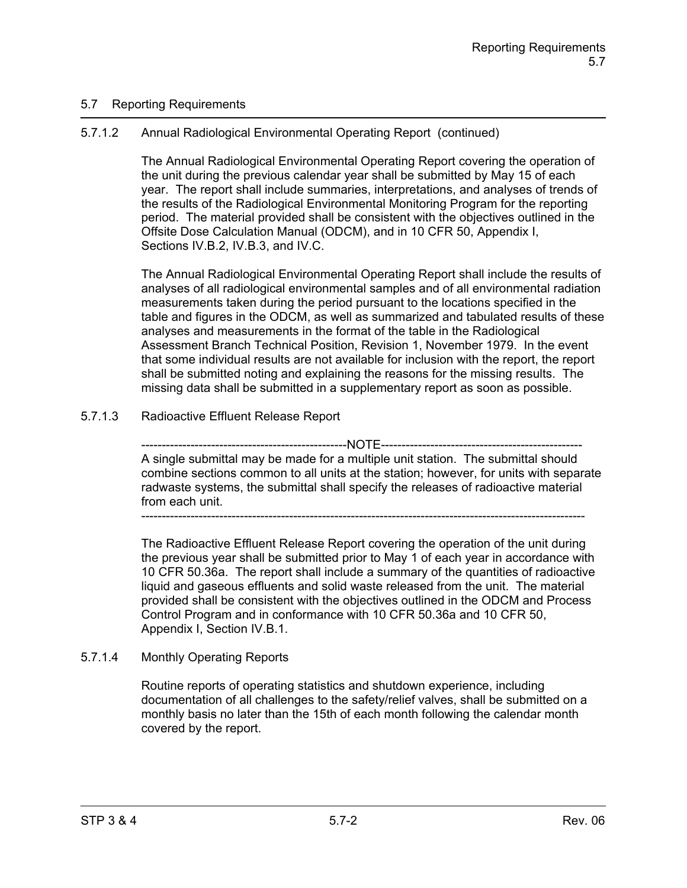## 5.7 Reporting Requirements

# 5.7.1.2 Annual Radiological Environmental Operating Report (continued)

The Annual Radiological Environmental Operating Report covering the operation of the unit during the previous calendar year shall be submitted by May 15 of each year. The report shall include summaries, interpretations, and analyses of trends of the results of the Radiological Environmental Monitoring Program for the reporting period. The material provided shall be consistent with the objectives outlined in the Offsite Dose Calculation Manual (ODCM), and in 10 CFR 50, Appendix I, Sections IV.B.2, IV.B.3, and IV.C.

The Annual Radiological Environmental Operating Report shall include the results of analyses of all radiological environmental samples and of all environmental radiation measurements taken during the period pursuant to the locations specified in the table and figures in the ODCM, as well as summarized and tabulated results of these analyses and measurements in the format of the table in the Radiological Assessment Branch Technical Position, Revision 1, November 1979. In the event that some individual results are not available for inclusion with the report, the report shall be submitted noting and explaining the reasons for the missing results. The missing data shall be submitted in a supplementary report as soon as possible.

# 5.7.1.3 Radioactive Effluent Release Report

--------NOTE------------A single submittal may be made for a multiple unit station. The submittal should combine sections common to all units at the station; however, for units with separate radwaste systems, the submittal shall specify the releases of radioactive material from each unit.

------------------------------------------------------------------------------------------------------------

The Radioactive Effluent Release Report covering the operation of the unit during the previous year shall be submitted prior to May 1 of each year in accordance with 10 CFR 50.36a. The report shall include a summary of the quantities of radioactive liquid and gaseous effluents and solid waste released from the unit. The material provided shall be consistent with the objectives outlined in the ODCM and Process Control Program and in conformance with 10 CFR 50.36a and 10 CFR 50, Appendix I, Section IV.B.1.

## 5.7.1.4 Monthly Operating Reports

Routine reports of operating statistics and shutdown experience, including documentation of all challenges to the safety/relief valves, shall be submitted on a monthly basis no later than the 15th of each month following the calendar month covered by the report.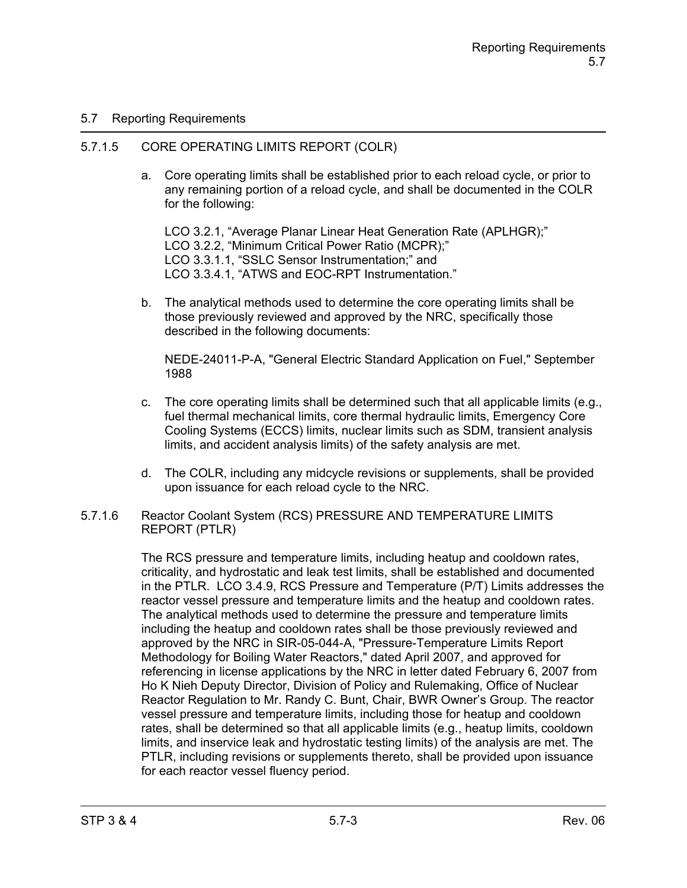## 5.7 Reporting Requirements

### 5.7.1.5 CORE OPERATING LIMITS REPORT (COLR)

a. Core operating limits shall be established prior to each reload cycle, or prior to any remaining portion of a reload cycle, and shall be documented in the COLR for the following:

LCO 3.2.1, "Average Planar Linear Heat Generation Rate (APLHGR);" LCO 3.2.2, "Minimum Critical Power Ratio (MCPR);" LCO 3.3.1.1, "SSLC Sensor Instrumentation;" and LCO 3.3.4.1, "ATWS and EOC-RPT Instrumentation."

b. The analytical methods used to determine the core operating limits shall be those previously reviewed and approved by the NRC, specifically those described in the following documents:

NEDE-24011-P-A, "General Electric Standard Application on Fuel," September 1988

- c. The core operating limits shall be determined such that all applicable limits  $(e.g.,)$ fuel thermal mechanical limits, core thermal hydraulic limits, Emergency Core Cooling Systems (ECCS) limits, nuclear limits such as SDM, transient analysis limits, and accident analysis limits) of the safety analysis are met.
- d. The COLR, including any midcycle revisions or supplements, shall be provided upon issuance for each reload cycle to the NRC.
- 5.7.1.6 Reactor Coolant System (RCS) PRESSURE AND TEMPERATURE LIMITS REPORT (PTLR)

The RCS pressure and temperature limits, including heatup and cooldown rates, criticality, and hydrostatic and leak test limits, shall be established and documented in the PTLR. LCO 3.4.9, RCS Pressure and Temperature (P/T) Limits addresses the reactor vessel pressure and temperature limits and the heatup and cooldown rates. The analytical methods used to determine the pressure and temperature limits including the heatup and cooldown rates shall be those previously reviewed and approved by the NRC in SIR-05-044-A, "Pressure-Temperature Limits Report Methodology for Boiling Water Reactors," dated April 2007, and approved for referencing in license applications by the NRC in letter dated February 6, 2007 from Ho K Nieh Deputy Director, Division of Policy and Rulemaking, Office of Nuclear Reactor Regulation to Mr. Randy C. Bunt, Chair, BWR Owner's Group. The reactor vessel pressure and temperature limits, including those for heatup and cooldown rates, shall be determined so that all applicable limits (e.g., heatup limits, cooldown limits, and inservice leak and hydrostatic testing limits) of the analysis are met. The PTLR, including revisions or supplements thereto, shall be provided upon issuance for each reactor vessel fluency period.